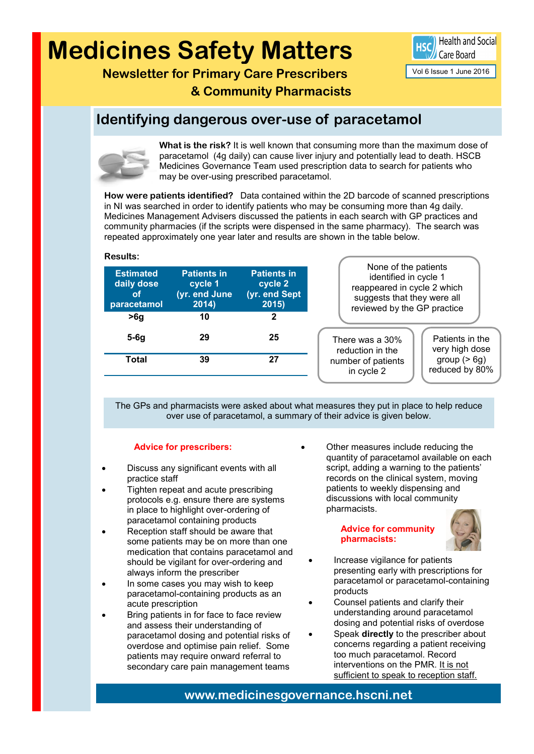# **Medicines Safety Matters**



Vol 6 Issue 1 June 2016

**Newsletter for Primary Care Prescribers & Community Pharmacists** 

### **Identifying dangerous over-use of paracetamol**



**Results:**

**What is the risk?** It is well known that consuming more than the maximum dose of paracetamol (4g daily) can cause liver injury and potentially lead to death. HSCB Medicines Governance Team used prescription data to search for patients who may be over-using prescribed paracetamol.

**How were patients identified?** Data contained within the 2D barcode of scanned prescriptions in NI was searched in order to identify patients who may be consuming more than 4g daily. Medicines Management Advisers discussed the patients in each search with GP practices and community pharmacies (if the scripts were dispensed in the same pharmacy). The search was repeated approximately one year later and results are shown in the table below.

| suggests that they were all<br>reviewed by the GP practice               |
|--------------------------------------------------------------------------|
|                                                                          |
| Patients in the<br>There was a 30%<br>very high dose<br>reduction in the |
| group $(> 6g)$<br>number of patients<br>reduced by 80%<br>in cycle 2     |
|                                                                          |

The GPs and pharmacists were asked about what measures they put in place to help reduce over use of paracetamol, a summary of their advice is given below.

#### **Advice for prescribers:**

- Discuss any significant events with all practice staff
- Tighten repeat and acute prescribing protocols e.g. ensure there are systems in place to highlight over-ordering of paracetamol containing products
- Reception staff should be aware that some patients may be on more than one medication that contains paracetamol and should be vigilant for over-ordering and always inform the prescriber
- In some cases you may wish to keep paracetamol-containing products as an acute prescription
- Bring patients in for face to face review and assess their understanding of paracetamol dosing and potential risks of overdose and optimise pain relief. Some patients may require onward referral to secondary care pain management teams

 Other measures include reducing the quantity of paracetamol available on each script, adding a warning to the patients' records on the clinical system, moving patients to weekly dispensing and discussions with local community pharmacists.

> **Advice for community pharmacists:**



- Increase vigilance for patients presenting early with prescriptions for paracetamol or paracetamol-containing products
- Counsel patients and clarify their understanding around paracetamol dosing and potential risks of overdose
- Speak **directly** to the prescriber about concerns regarding a patient receiving too much paracetamol. Record interventions on the PMR. It is not sufficient to speak to reception staff.

**www.medicinesgovernance.hscni.net**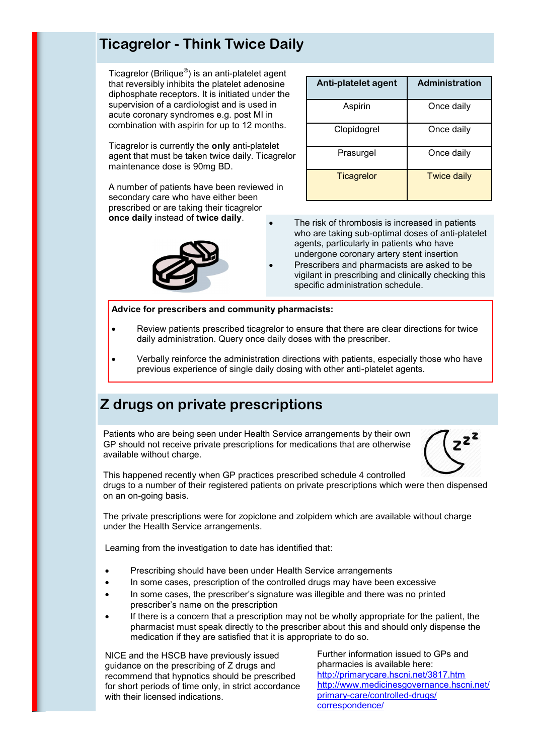### **Ticagrelor - Think Twice Daily**

Ticagrelor (Brilique®) is an anti-platelet agent that reversibly inhibits the platelet adenosine diphosphate receptors. It is initiated under the supervision of a cardiologist and is used in acute coronary syndromes e.g. post MI in combination with aspirin for up to 12 months.

Ticagrelor is currently the **only** anti-platelet agent that must be taken twice daily. Ticagrelor maintenance dose is 90mg BD.

A number of patients have been reviewed in secondary care who have either been prescribed or are taking their ticagrelor **once daily** instead of **twice daily**.



| Anti-platelet agent | <b>Administration</b> |
|---------------------|-----------------------|
| Aspirin             | Once daily            |
| Clopidogrel         | Once daily            |
| Prasurgel           | Once daily            |
| <b>Ticagrelor</b>   | <b>Twice daily</b>    |

- The risk of thrombosis is increased in patients who are taking sub-optimal doses of anti-platelet agents, particularly in patients who have undergone coronary artery stent insertion
- Prescribers and pharmacists are asked to be vigilant in prescribing and clinically checking this specific administration schedule.

**Advice for prescribers and community pharmacists:**

- Review patients prescribed ticagrelor to ensure that there are clear directions for twice daily administration. Query once daily doses with the prescriber.
- Verbally reinforce the administration directions with patients, especially those who have previous experience of single daily dosing with other anti-platelet agents.

### **Z drugs on private prescriptions**

Patients who are being seen under Health Service arrangements by their own GP should not receive private prescriptions for medications that are otherwise available without charge.



This happened recently when GP practices prescribed schedule 4 controlled drugs to a number of their registered patients on private prescriptions which were then dispensed on an on-going basis.

The private prescriptions were for zopiclone and zolpidem which are available without charge under the Health Service arrangements.

Learning from the investigation to date has identified that:

- Prescribing should have been under Health Service arrangements
- In some cases, prescription of the controlled drugs may have been excessive
- In some cases, the prescriber's signature was illegible and there was no printed prescriber's name on the prescription
- If there is a concern that a prescription may not be wholly appropriate for the patient, the pharmacist must speak directly to the prescriber about this and should only dispense the medication if they are satisfied that it is appropriate to do so.

NICE and the HSCB have previously issued guidance on the prescribing of Z drugs and recommend that hypnotics should be prescribed for short periods of time only, in strict accordance with their licensed indications.

Further information issued to GPs and pharmacies is available here: <http://primarycare.hscni.net/3817.htm> http://www.medicinesgovernance.hscni.net/ primary-care/controlled-drugs/ correspondence/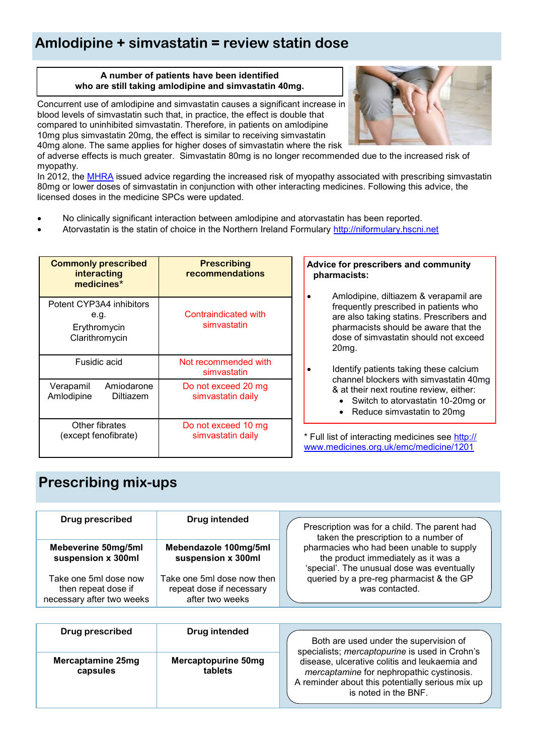# **Amlodipine + simvastatin = review statin dose**

#### **A number of patients have been identified who are still taking amlodipine and simvastatin 40mg.**

Concurrent use of amlodipine and simvastatin causes a significant increase in blood levels of simvastatin such that, in practice, the effect is double that compared to uninhibited simvastatin. Therefore, in patients on amlodipine 10mg plus simvastatin 20mg, the effect is similar to receiving simvastatin 40mg alone. The same applies for higher doses of simvastatin where the risk



of adverse effects is much greater. Simvastatin 80mg is no longer recommended due to the increased risk of myopathy.

In 2012, the [MHRA](https://www.gov.uk/drug-safety-update/simvastatin-updated-advice-on-drug-interactions) issued advice regarding the increased risk of myopathy associated with prescribing simvastatin 80mg or lower doses of simvastatin in conjunction with other interacting medicines. Following this advice, the licensed doses in the medicine SPCs were updated.

- No clinically significant interaction between amlodipine and atorvastatin has been reported.
- Atorvastatin is the statin of choice in the Northern Ireland Formulary [http://niformulary.hscni.net](http://niformulary.hscni.net/Pages/default.aspx)

| <b>Commonly prescribed</b><br>interacting<br>medicines*            | <b>Prescribing</b><br>recommendations    |
|--------------------------------------------------------------------|------------------------------------------|
| Potent CYP3A4 inhibitors<br>e.g.<br>Erythromycin<br>Clarithromycin | Contraindicated with<br>simvastatin      |
| Fusidic acid                                                       | Not recommended with<br>simvastatin      |
| Amiodarone<br>Verapamil<br>Amlodipine<br>Diltiazem                 | Do not exceed 20 mg<br>simvastatin daily |
| Other fibrates<br>(except fenofibrate)                             | Do not exceed 10 mg<br>simvastatin daily |

#### **Advice for prescribers and community pharmacists:**

 Amlodipine, diltiazem & verapamil are frequently prescribed in patients who are also taking statins. Prescribers and pharmacists should be aware that the dose of simvastatin should not exceed 20mg.

- Identify patients taking these calcium channel blockers with simvastatin 40mg & at their next routine review, either:
	- Switch to atorvastatin 10-20mg or
	- Reduce simvastatin to 20mg

\* Full list of interacting medicines see [http://](http://www.medicines.org.uk/emc/medicine/1201) [www.medicines.org.uk/emc/medicine/1201](http://www.medicines.org.uk/emc/medicine/1201)

# **Prescribing mix-ups**

| <b>Drug prescribed</b>                                                    | Drug intended                                                             | Prescription was for a child. The parent had<br>taken the prescription to a number of                                         |
|---------------------------------------------------------------------------|---------------------------------------------------------------------------|-------------------------------------------------------------------------------------------------------------------------------|
| Mebeverine 50mg/5ml<br>suspension x 300ml                                 | Mebendazole 100mg/5ml<br>suspension x 300ml                               | pharmacies who had been unable to supply<br>the product immediately as it was a<br>'special'. The unusual dose was eventually |
| Take one 5ml dose now<br>then repeat dose if<br>necessary after two weeks | Take one 5ml dose now then<br>repeat dose if necessary<br>after two weeks | queried by a pre-reg pharmacist & the GP<br>was contacted.                                                                    |

| Drug prescribed               | Drug intended                  | Both are used under the supervision of<br>specialists; mercaptopurine is used in Crohn's                                                                               |
|-------------------------------|--------------------------------|------------------------------------------------------------------------------------------------------------------------------------------------------------------------|
| Mercaptamine 25mg<br>capsules | Mercaptopurine 50mg<br>tablets | disease, ulcerative colitis and leukaemia and<br>mercaptamine for nephropathic cystinosis.<br>A reminder about this potentially serious mix up<br>is noted in the BNF. |